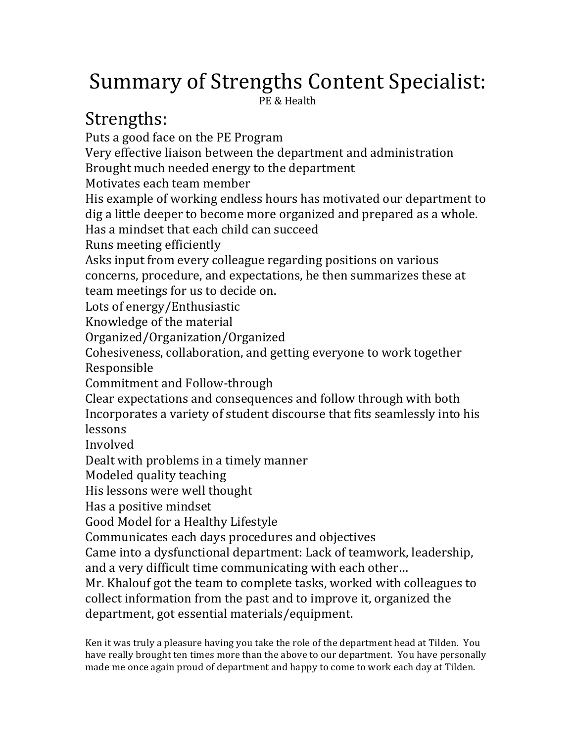# Summary of Strengths Content Specialist:

PE & Health

## Strengths:

Puts a good face on the PE Program Very effective liaison between the department and administration Brought much needed energy to the department Motivates each team member His example of working endless hours has motivated our department to dig a little deeper to become more organized and prepared as a whole. Has a mindset that each child can succeed Runs meeting efficiently Asks input from every colleague regarding positions on various concerns, procedure, and expectations, he then summarizes these at team meetings for us to decide on. Lots of energy/Enthusiastic Knowledge of the material Organized/Organization/Organized Cohesiveness, collaboration, and getting everyone to work together Responsible Commitment and Follow-through Clear expectations and consequences and follow through with both Incorporates a variety of student discourse that fits seamlessly into his lessons Involved Dealt with problems in a timely manner Modeled quality teaching His lessons were well thought Has a positive mindset Good Model for a Healthy Lifestyle Communicates each days procedures and objectives Came into a dysfunctional department: Lack of teamwork, leadership, and a very difficult time communicating with each other... Mr. Khalouf got the team to complete tasks, worked with colleagues to collect information from the past and to improve it, organized the department, got essential materials/equipment.

Ken it was truly a pleasure having you take the role of the department head at Tilden. You have really brought ten times more than the above to our department. You have personally made me once again proud of department and happy to come to work each day at Tilden.